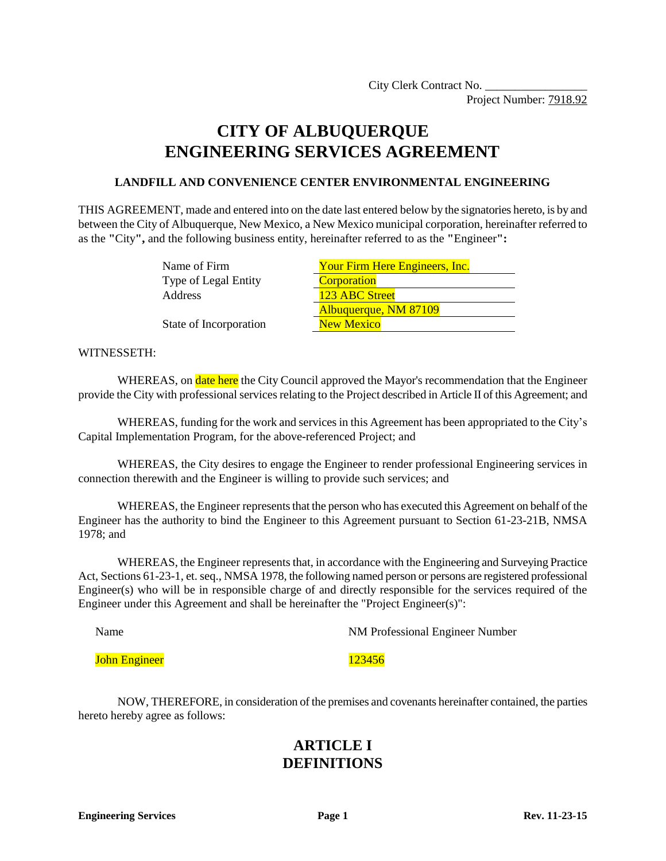Project Number: 7918.92

# **CITY OF ALBUQUERQUE ENGINEERING SERVICES AGREEMENT**

### **LANDFILL AND CONVENIENCE CENTER ENVIRONMENTAL ENGINEERING**

THIS AGREEMENT, made and entered into on the date last entered below by the signatories hereto, is by and between the City of Albuquerque, New Mexico, a New Mexico municipal corporation, hereinafter referred to as the **"**City**",** and the following business entity, hereinafter referred to as the **"**Engineer**":**

| Name of Firm           | Your Firm Here Engineers, Inc. |
|------------------------|--------------------------------|
| Type of Legal Entity   | <b>Corporation</b>             |
| Address                | 123 ABC Street                 |
|                        | Albuquerque, NM 87109          |
| State of Incorporation | <b>New Mexico</b>              |

#### WITNESSETH:

WHEREAS, on **date here** the City Council approved the Mayor's recommendation that the Engineer provide the City with professional services relating to the Project described in Article II of this Agreement; and

WHEREAS, funding for the work and services in this Agreement has been appropriated to the City's Capital Implementation Program, for the above-referenced Project; and

WHEREAS, the City desires to engage the Engineer to render professional Engineering services in connection therewith and the Engineer is willing to provide such services; and

WHEREAS, the Engineer represents that the person who has executed this Agreement on behalf of the Engineer has the authority to bind the Engineer to this Agreement pursuant to Section 61-23-21B, NMSA 1978; and

WHEREAS, the Engineer represents that, in accordance with the Engineering and Surveying Practice Act, Sections 61-23-1, et. seq., NMSA 1978, the following named person or persons are registered professional Engineer(s) who will be in responsible charge of and directly responsible for the services required of the Engineer under this Agreement and shall be hereinafter the "Project Engineer(s)":

Name NM Professional Engineer Number

**John Engineer** 123456

NOW, THEREFORE, in consideration of the premises and covenants hereinafter contained, the parties hereto hereby agree as follows:

### **ARTICLE I DEFINITIONS**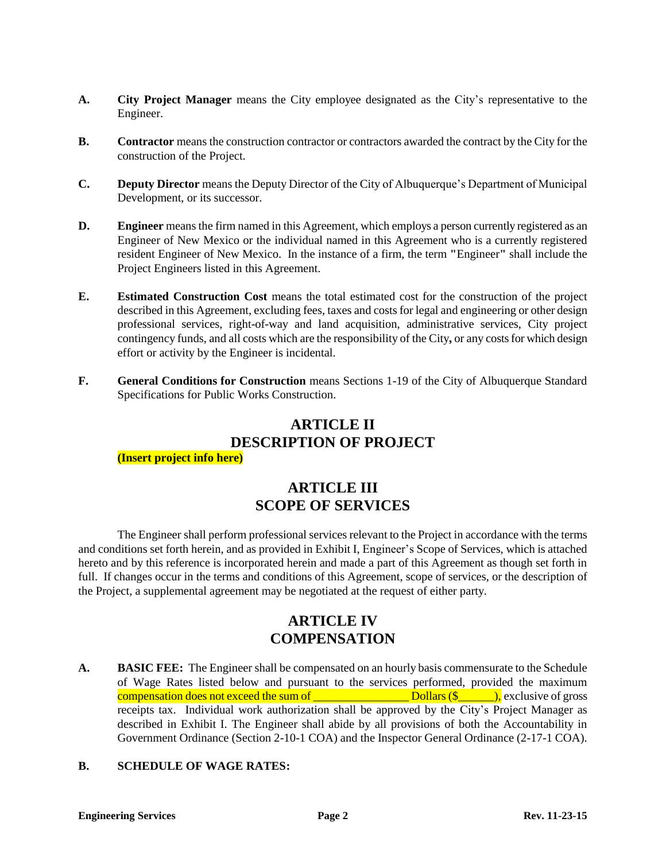- **A. City Project Manager** means the City employee designated as the City's representative to the Engineer.
- **B. Contractor** means the construction contractor or contractors awarded the contract by the City for the construction of the Project.
- **C. Deputy Director** means the Deputy Director of the City of Albuquerque's Department of Municipal Development, or its successor.
- **D. Engineer** means the firm named in this Agreement, which employs a person currently registered as an Engineer of New Mexico or the individual named in this Agreement who is a currently registered resident Engineer of New Mexico. In the instance of a firm, the term **"**Engineer**"** shall include the Project Engineers listed in this Agreement.
- **E. Estimated Construction Cost** means the total estimated cost for the construction of the project described in this Agreement, excluding fees, taxes and costs for legal and engineering or other design professional services, right-of-way and land acquisition, administrative services, City project contingency funds, and all costs which are the responsibility of the City**,** or any costs for which design effort or activity by the Engineer is incidental.
- **F. General Conditions for Construction** means Sections 1-19 of the City of Albuquerque Standard Specifications for Public Works Construction.

# **ARTICLE II DESCRIPTION OF PROJECT**

#### **(Insert project info here)**

# **ARTICLE III SCOPE OF SERVICES**

The Engineer shall perform professional services relevant to the Project in accordance with the terms and conditions set forth herein, and as provided in Exhibit I, Engineer's Scope of Services, which is attached hereto and by this reference is incorporated herein and made a part of this Agreement as though set forth in full. If changes occur in the terms and conditions of this Agreement, scope of services, or the description of the Project, a supplemental agreement may be negotiated at the request of either party.

# **ARTICLE IV COMPENSATION**

**A. BASIC FEE:** The Engineer shall be compensated on an hourly basis commensurate to the Schedule of Wage Rates listed below and pursuant to the services performed, provided the maximum compensation does not exceed the sum of \_\_\_\_\_\_\_\_\_\_\_\_\_\_\_\_ Dollars (\$\_\_\_\_\_\_), exclusive of gross receipts tax. Individual work authorization shall be approved by the City's Project Manager as described in Exhibit I. The Engineer shall abide by all provisions of both the Accountability in Government Ordinance (Section 2-10-1 COA) and the Inspector General Ordinance (2-17-1 COA).

### **B. SCHEDULE OF WAGE RATES:**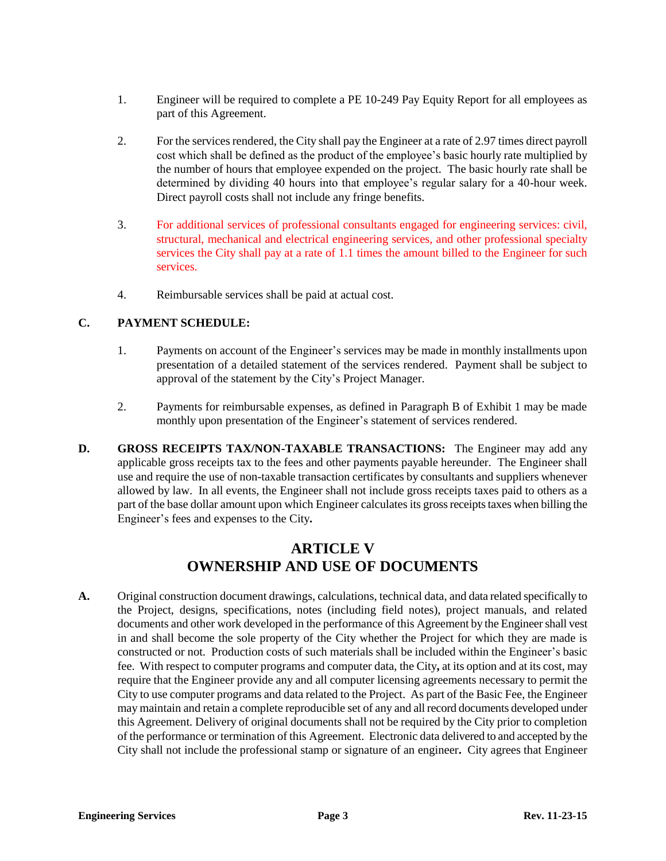- 1. Engineer will be required to complete a PE 10-249 Pay Equity Report for all employees as part of this Agreement.
- 2. For the services rendered, the City shall pay the Engineer at a rate of 2.97 times direct payroll cost which shall be defined as the product of the employee's basic hourly rate multiplied by the number of hours that employee expended on the project. The basic hourly rate shall be determined by dividing 40 hours into that employee's regular salary for a 40-hour week. Direct payroll costs shall not include any fringe benefits.
- 3. For additional services of professional consultants engaged for engineering services: civil, structural, mechanical and electrical engineering services, and other professional specialty services the City shall pay at a rate of 1.1 times the amount billed to the Engineer for such services.
- 4. Reimbursable services shall be paid at actual cost.

### **C. PAYMENT SCHEDULE:**

- 1. Payments on account of the Engineer's services may be made in monthly installments upon presentation of a detailed statement of the services rendered. Payment shall be subject to approval of the statement by the City's Project Manager.
- 2. Payments for reimbursable expenses, as defined in Paragraph B of Exhibit 1 may be made monthly upon presentation of the Engineer's statement of services rendered.
- **D. GROSS RECEIPTS TAX/NON-TAXABLE TRANSACTIONS:** The Engineer may add any applicable gross receipts tax to the fees and other payments payable hereunder. The Engineer shall use and require the use of non-taxable transaction certificates by consultants and suppliers whenever allowed by law. In all events, the Engineer shall not include gross receipts taxes paid to others as a part of the base dollar amount upon which Engineer calculates its gross receipts taxes when billing the Engineer's fees and expenses to the City**.**

### **ARTICLE V OWNERSHIP AND USE OF DOCUMENTS**

**A.** Original construction document drawings, calculations, technical data, and data related specifically to the Project, designs, specifications, notes (including field notes), project manuals, and related documents and other work developed in the performance of this Agreement by the Engineer shall vest in and shall become the sole property of the City whether the Project for which they are made is constructed or not. Production costs of such materials shall be included within the Engineer's basic fee. With respect to computer programs and computer data, the City**,** at its option and at its cost, may require that the Engineer provide any and all computer licensing agreements necessary to permit the City to use computer programs and data related to the Project. As part of the Basic Fee, the Engineer may maintain and retain a complete reproducible set of any and all record documents developed under this Agreement. Delivery of original documents shall not be required by the City prior to completion of the performance or termination of this Agreement. Electronic data delivered to and accepted by the City shall not include the professional stamp or signature of an engineer**.** City agrees that Engineer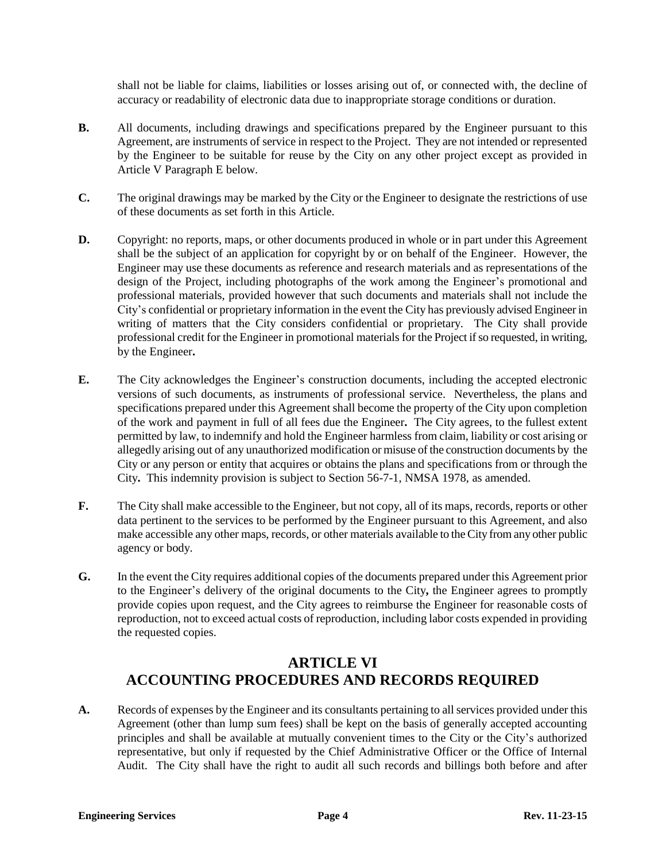shall not be liable for claims, liabilities or losses arising out of, or connected with, the decline of accuracy or readability of electronic data due to inappropriate storage conditions or duration.

- **B.** All documents, including drawings and specifications prepared by the Engineer pursuant to this Agreement, are instruments of service in respect to the Project. They are not intended or represented by the Engineer to be suitable for reuse by the City on any other project except as provided in Article V Paragraph E below.
- **C.** The original drawings may be marked by the City or the Engineer to designate the restrictions of use of these documents as set forth in this Article.
- **D.** Copyright: no reports, maps, or other documents produced in whole or in part under this Agreement shall be the subject of an application for copyright by or on behalf of the Engineer. However, the Engineer may use these documents as reference and research materials and as representations of the design of the Project, including photographs of the work among the Engineer's promotional and professional materials, provided however that such documents and materials shall not include the City's confidential or proprietary information in the event the City has previously advised Engineer in writing of matters that the City considers confidential or proprietary. The City shall provide professional credit for the Engineer in promotional materials for the Project if so requested, in writing, by the Engineer**.**
- **E.** The City acknowledges the Engineer's construction documents, including the accepted electronic versions of such documents, as instruments of professional service. Nevertheless, the plans and specifications prepared under this Agreement shall become the property of the City upon completion of the work and payment in full of all fees due the Engineer**.** The City agrees, to the fullest extent permitted by law, to indemnify and hold the Engineer harmless from claim, liability or cost arising or allegedly arising out of any unauthorized modification or misuse of the construction documents by the City or any person or entity that acquires or obtains the plans and specifications from or through the City**.** This indemnity provision is subject to Section 56-7-1, NMSA 1978, as amended.
- **F.** The City shall make accessible to the Engineer, but not copy, all of its maps, records, reports or other data pertinent to the services to be performed by the Engineer pursuant to this Agreement, and also make accessible any other maps, records, or other materials available to the City from any other public agency or body.
- **G.** In the event the City requires additional copies of the documents prepared under this Agreement prior to the Engineer's delivery of the original documents to the City**,** the Engineer agrees to promptly provide copies upon request, and the City agrees to reimburse the Engineer for reasonable costs of reproduction, not to exceed actual costs of reproduction, including labor costs expended in providing the requested copies.

### **ARTICLE VI ACCOUNTING PROCEDURES AND RECORDS REQUIRED**

**A.** Records of expenses by the Engineer and its consultants pertaining to all services provided under this Agreement (other than lump sum fees) shall be kept on the basis of generally accepted accounting principles and shall be available at mutually convenient times to the City or the City's authorized representative, but only if requested by the Chief Administrative Officer or the Office of Internal Audit. The City shall have the right to audit all such records and billings both before and after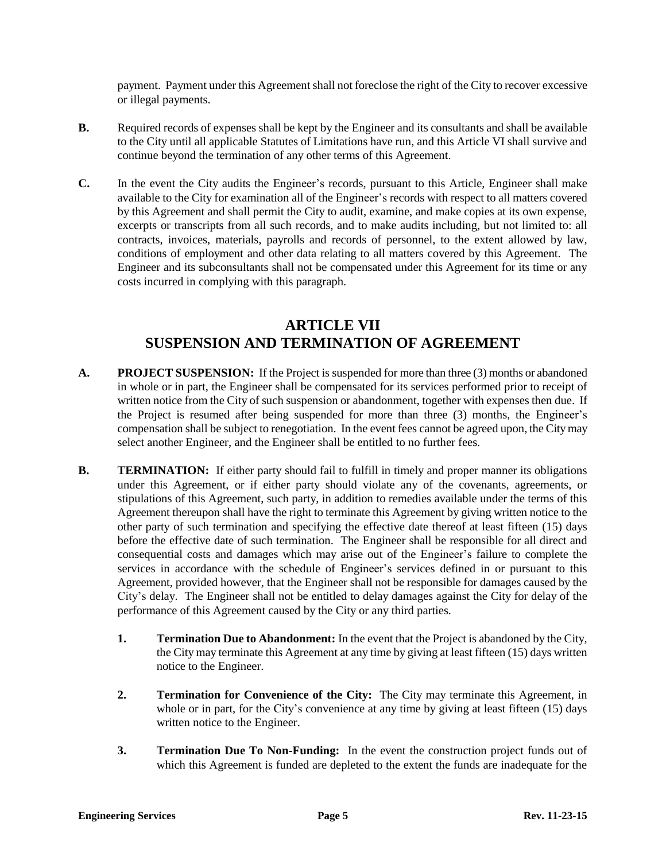payment. Payment under this Agreement shall not foreclose the right of the City to recover excessive or illegal payments.

- **B.** Required records of expenses shall be kept by the Engineer and its consultants and shall be available to the City until all applicable Statutes of Limitations have run, and this Article VI shall survive and continue beyond the termination of any other terms of this Agreement.
- **C.** In the event the City audits the Engineer's records, pursuant to this Article, Engineer shall make available to the City for examination all of the Engineer's records with respect to all matters covered by this Agreement and shall permit the City to audit, examine, and make copies at its own expense, excerpts or transcripts from all such records, and to make audits including, but not limited to: all contracts, invoices, materials, payrolls and records of personnel, to the extent allowed by law, conditions of employment and other data relating to all matters covered by this Agreement. The Engineer and its subconsultants shall not be compensated under this Agreement for its time or any costs incurred in complying with this paragraph.

# **ARTICLE VII SUSPENSION AND TERMINATION OF AGREEMENT**

- **A. PROJECT SUSPENSION:** If the Project is suspended for more than three (3) months or abandoned in whole or in part, the Engineer shall be compensated for its services performed prior to receipt of written notice from the City of such suspension or abandonment, together with expenses then due. If the Project is resumed after being suspended for more than three (3) months, the Engineer's compensation shall be subject to renegotiation. In the event fees cannot be agreed upon, the Citymay select another Engineer, and the Engineer shall be entitled to no further fees.
- **B. TERMINATION:** If either party should fail to fulfill in timely and proper manner its obligations under this Agreement, or if either party should violate any of the covenants, agreements, or stipulations of this Agreement, such party, in addition to remedies available under the terms of this Agreement thereupon shall have the right to terminate this Agreement by giving written notice to the other party of such termination and specifying the effective date thereof at least fifteen (15) days before the effective date of such termination. The Engineer shall be responsible for all direct and consequential costs and damages which may arise out of the Engineer's failure to complete the services in accordance with the schedule of Engineer's services defined in or pursuant to this Agreement, provided however, that the Engineer shall not be responsible for damages caused by the City's delay. The Engineer shall not be entitled to delay damages against the City for delay of the performance of this Agreement caused by the City or any third parties.
	- **1. Termination Due to Abandonment:** In the event that the Project is abandoned by the City, the City may terminate this Agreement at any time by giving at least fifteen (15) days written notice to the Engineer.
	- **2. Termination for Convenience of the City:** The City may terminate this Agreement, in whole or in part, for the City's convenience at any time by giving at least fifteen (15) days written notice to the Engineer.
	- **3. Termination Due To Non-Funding:** In the event the construction project funds out of which this Agreement is funded are depleted to the extent the funds are inadequate for the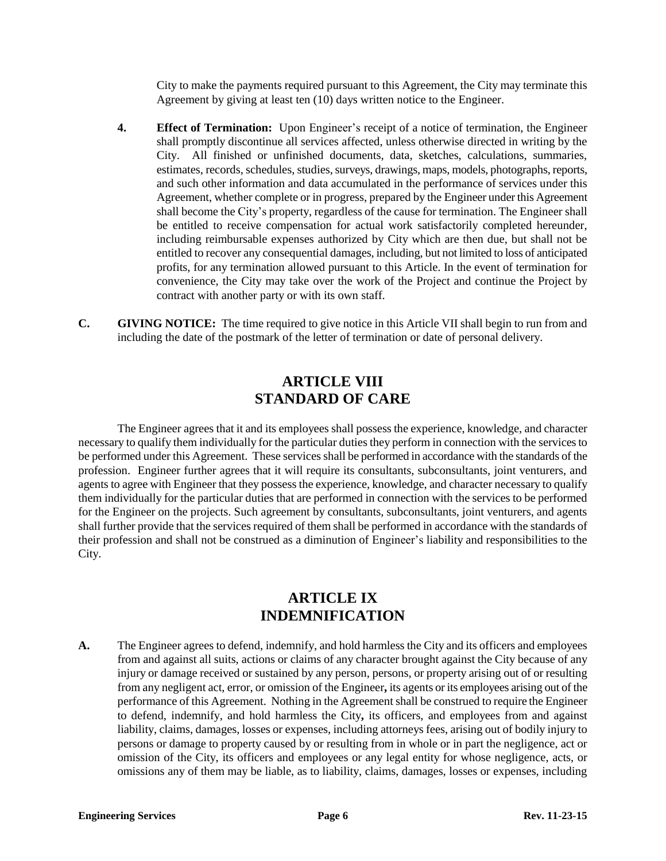City to make the payments required pursuant to this Agreement, the City may terminate this Agreement by giving at least ten (10) days written notice to the Engineer.

- **4. Effect of Termination:** Upon Engineer's receipt of a notice of termination, the Engineer shall promptly discontinue all services affected, unless otherwise directed in writing by the City. All finished or unfinished documents, data, sketches, calculations, summaries, estimates, records, schedules, studies, surveys, drawings, maps, models, photographs, reports, and such other information and data accumulated in the performance of services under this Agreement, whether complete or in progress, prepared by the Engineer under this Agreement shall become the City's property, regardless of the cause for termination. The Engineer shall be entitled to receive compensation for actual work satisfactorily completed hereunder, including reimbursable expenses authorized by City which are then due, but shall not be entitled to recover any consequential damages, including, but not limited to loss of anticipated profits, for any termination allowed pursuant to this Article. In the event of termination for convenience, the City may take over the work of the Project and continue the Project by contract with another party or with its own staff.
- **C. GIVING NOTICE:** The time required to give notice in this Article VII shall begin to run from and including the date of the postmark of the letter of termination or date of personal delivery.

### **ARTICLE VIII STANDARD OF CARE**

The Engineer agrees that it and its employees shall possess the experience, knowledge, and character necessary to qualify them individually for the particular duties they perform in connection with the services to be performed under this Agreement. These services shall be performed in accordance with the standards of the profession. Engineer further agrees that it will require its consultants, subconsultants, joint venturers, and agents to agree with Engineer that they possess the experience, knowledge, and character necessary to qualify them individually for the particular duties that are performed in connection with the services to be performed for the Engineer on the projects. Such agreement by consultants, subconsultants, joint venturers, and agents shall further provide that the services required of them shall be performed in accordance with the standards of their profession and shall not be construed as a diminution of Engineer's liability and responsibilities to the City.

### **ARTICLE IX INDEMNIFICATION**

**A.** The Engineer agrees to defend, indemnify, and hold harmless the City and its officers and employees from and against all suits, actions or claims of any character brought against the City because of any injury or damage received or sustained by any person, persons, or property arising out of or resulting from any negligent act, error, or omission of the Engineer**,** its agents or its employees arising out of the performance of this Agreement. Nothing in the Agreement shall be construed to require the Engineer to defend, indemnify, and hold harmless the City**,** its officers, and employees from and against liability, claims, damages, losses or expenses, including attorneys fees, arising out of bodily injury to persons or damage to property caused by or resulting from in whole or in part the negligence, act or omission of the City, its officers and employees or any legal entity for whose negligence, acts, or omissions any of them may be liable, as to liability, claims, damages, losses or expenses, including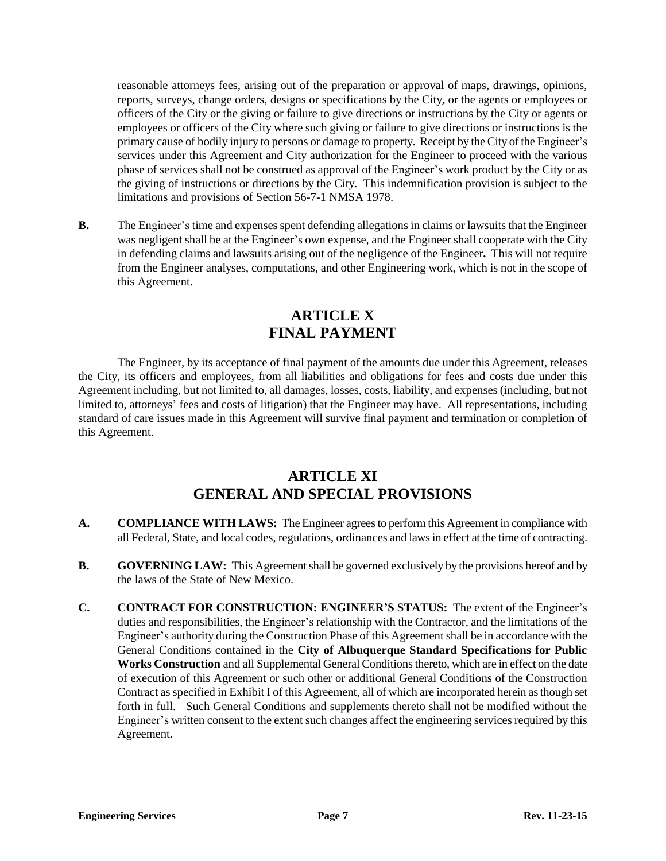reasonable attorneys fees, arising out of the preparation or approval of maps, drawings, opinions, reports, surveys, change orders, designs or specifications by the City**,** or the agents or employees or officers of the City or the giving or failure to give directions or instructions by the City or agents or employees or officers of the City where such giving or failure to give directions or instructions is the primary cause of bodily injury to persons or damage to property. Receipt by the City of the Engineer's services under this Agreement and City authorization for the Engineer to proceed with the various phase of services shall not be construed as approval of the Engineer's work product by the City or as the giving of instructions or directions by the City. This indemnification provision is subject to the limitations and provisions of Section 56-7-1 NMSA 1978.

**B.** The Engineer's time and expenses spent defending allegations in claims or lawsuits that the Engineer was negligent shall be at the Engineer's own expense, and the Engineer shall cooperate with the City in defending claims and lawsuits arising out of the negligence of the Engineer**.** This will not require from the Engineer analyses, computations, and other Engineering work, which is not in the scope of this Agreement.

# **ARTICLE X FINAL PAYMENT**

The Engineer, by its acceptance of final payment of the amounts due under this Agreement, releases the City, its officers and employees, from all liabilities and obligations for fees and costs due under this Agreement including, but not limited to, all damages, losses, costs, liability, and expenses (including, but not limited to, attorneys' fees and costs of litigation) that the Engineer may have. All representations, including standard of care issues made in this Agreement will survive final payment and termination or completion of this Agreement.

### **ARTICLE XI GENERAL AND SPECIAL PROVISIONS**

- **A. COMPLIANCE WITH LAWS:** The Engineer agrees to perform this Agreement in compliance with all Federal, State, and local codes, regulations, ordinances and laws in effect at the time of contracting.
- **B. GOVERNING LAW:** This Agreement shall be governed exclusively by the provisions hereof and by the laws of the State of New Mexico.
- **C. CONTRACT FOR CONSTRUCTION: ENGINEER'S STATUS:** The extent of the Engineer's duties and responsibilities, the Engineer's relationship with the Contractor, and the limitations of the Engineer's authority during the Construction Phase of this Agreement shall be in accordance with the General Conditions contained in the **City of Albuquerque Standard Specifications for Public Works Construction** and all Supplemental General Conditions thereto, which are in effect on the date of execution of this Agreement or such other or additional General Conditions of the Construction Contract as specified in Exhibit I of this Agreement, all of which are incorporated herein as though set forth in full. Such General Conditions and supplements thereto shall not be modified without the Engineer's written consent to the extent such changes affect the engineering services required by this Agreement.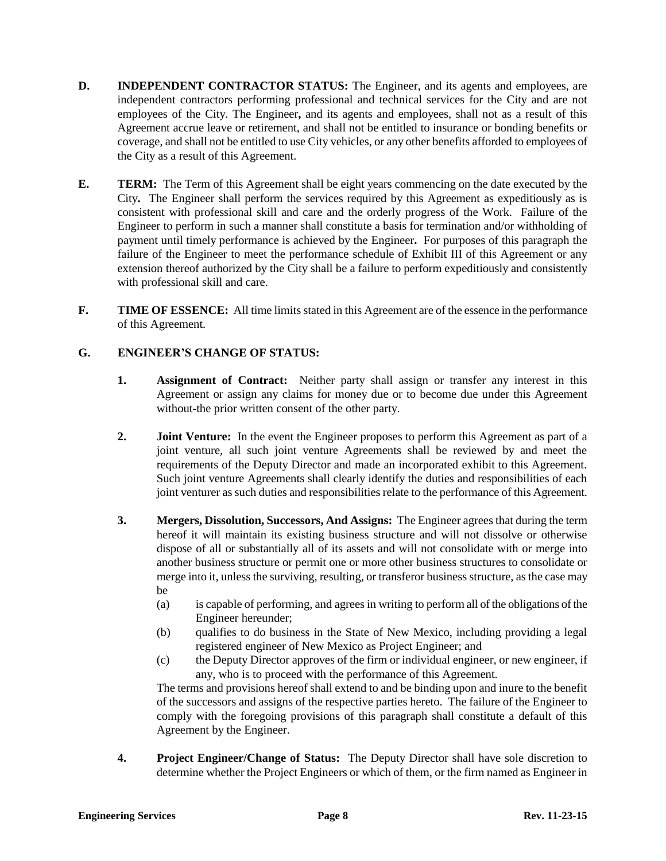- **D. INDEPENDENT CONTRACTOR STATUS:** The Engineer, and its agents and employees, are independent contractors performing professional and technical services for the City and are not employees of the City. The Engineer**,** and its agents and employees, shall not as a result of this Agreement accrue leave or retirement, and shall not be entitled to insurance or bonding benefits or coverage, and shall not be entitled to use City vehicles, or any other benefits afforded to employees of the City as a result of this Agreement.
- **E. TERM:** The Term of this Agreement shall be eight years commencing on the date executed by the City**.** The Engineer shall perform the services required by this Agreement as expeditiously as is consistent with professional skill and care and the orderly progress of the Work. Failure of the Engineer to perform in such a manner shall constitute a basis for termination and/or withholding of payment until timely performance is achieved by the Engineer**.** For purposes of this paragraph the failure of the Engineer to meet the performance schedule of Exhibit III of this Agreement or any extension thereof authorized by the City shall be a failure to perform expeditiously and consistently with professional skill and care.
- **F. TIME OF ESSENCE:** All time limits stated in this Agreement are of the essence in the performance of this Agreement.

### **G. ENGINEER'S CHANGE OF STATUS:**

- **1. Assignment of Contract:** Neither party shall assign or transfer any interest in this Agreement or assign any claims for money due or to become due under this Agreement without-the prior written consent of the other party.
- **2. Joint Venture:** In the event the Engineer proposes to perform this Agreement as part of a joint venture, all such joint venture Agreements shall be reviewed by and meet the requirements of the Deputy Director and made an incorporated exhibit to this Agreement. Such joint venture Agreements shall clearly identify the duties and responsibilities of each joint venturer as such duties and responsibilities relate to the performance of this Agreement.
- **3. Mergers, Dissolution, Successors, And Assigns:** The Engineer agrees that during the term hereof it will maintain its existing business structure and will not dissolve or otherwise dispose of all or substantially all of its assets and will not consolidate with or merge into another business structure or permit one or more other business structures to consolidate or merge into it, unless the surviving, resulting, or transferor business structure, as the case may be
	- (a) is capable of performing, and agrees in writing to perform all of the obligations of the Engineer hereunder;
	- (b) qualifies to do business in the State of New Mexico, including providing a legal registered engineer of New Mexico as Project Engineer; and
	- (c) the Deputy Director approves of the firm or individual engineer, or new engineer, if any, who is to proceed with the performance of this Agreement.

The terms and provisions hereof shall extend to and be binding upon and inure to the benefit of the successors and assigns of the respective parties hereto. The failure of the Engineer to comply with the foregoing provisions of this paragraph shall constitute a default of this Agreement by the Engineer.

**4. Project Engineer/Change of Status:** The Deputy Director shall have sole discretion to determine whether the Project Engineers or which of them, or the firm named as Engineer in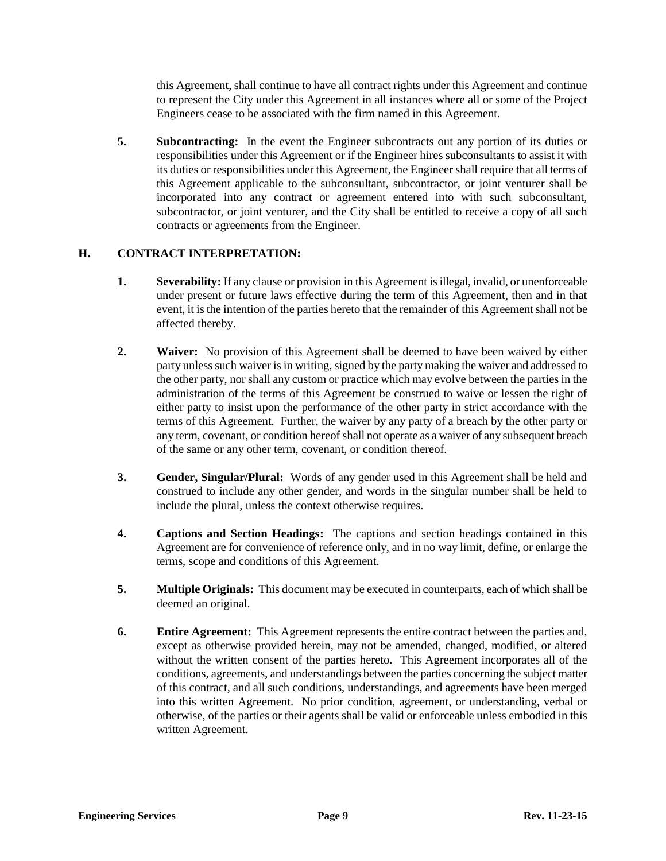this Agreement, shall continue to have all contract rights under this Agreement and continue to represent the City under this Agreement in all instances where all or some of the Project Engineers cease to be associated with the firm named in this Agreement.

**5. Subcontracting:** In the event the Engineer subcontracts out any portion of its duties or responsibilities under this Agreement or if the Engineer hires subconsultants to assist it with its duties or responsibilities under this Agreement, the Engineer shall require that all terms of this Agreement applicable to the subconsultant, subcontractor, or joint venturer shall be incorporated into any contract or agreement entered into with such subconsultant, subcontractor, or joint venturer, and the City shall be entitled to receive a copy of all such contracts or agreements from the Engineer.

#### **H. CONTRACT INTERPRETATION:**

- **1. Severability:** If any clause or provision in this Agreement is illegal, invalid, or unenforceable under present or future laws effective during the term of this Agreement, then and in that event, it is the intention of the parties hereto that the remainder of this Agreement shall not be affected thereby.
- **2. Waiver:** No provision of this Agreement shall be deemed to have been waived by either party unless such waiver is in writing, signed by the party making the waiver and addressed to the other party, nor shall any custom or practice which may evolve between the parties in the administration of the terms of this Agreement be construed to waive or lessen the right of either party to insist upon the performance of the other party in strict accordance with the terms of this Agreement. Further, the waiver by any party of a breach by the other party or any term, covenant, or condition hereof shall not operate as a waiver of any subsequent breach of the same or any other term, covenant, or condition thereof.
- **3. Gender, Singular/Plural:** Words of any gender used in this Agreement shall be held and construed to include any other gender, and words in the singular number shall be held to include the plural, unless the context otherwise requires.
- **4. Captions and Section Headings:** The captions and section headings contained in this Agreement are for convenience of reference only, and in no way limit, define, or enlarge the terms, scope and conditions of this Agreement.
- **5. Multiple Originals:** This document may be executed in counterparts, each of which shall be deemed an original.
- **6. Entire Agreement:** This Agreement represents the entire contract between the parties and, except as otherwise provided herein, may not be amended, changed, modified, or altered without the written consent of the parties hereto. This Agreement incorporates all of the conditions, agreements, and understandings between the parties concerning the subject matter of this contract, and all such conditions, understandings, and agreements have been merged into this written Agreement. No prior condition, agreement, or understanding, verbal or otherwise, of the parties or their agents shall be valid or enforceable unless embodied in this written Agreement.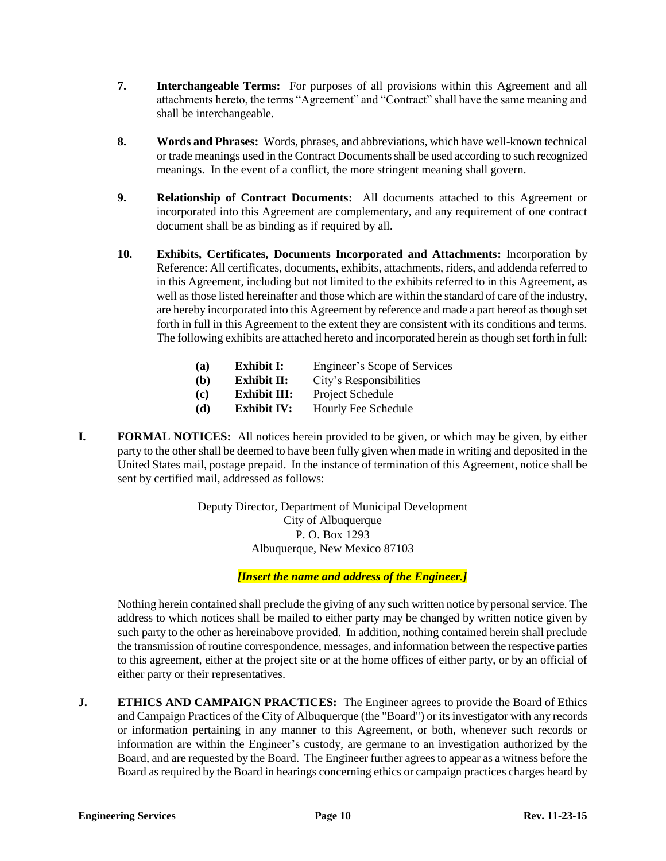- **7. Interchangeable Terms:** For purposes of all provisions within this Agreement and all attachments hereto, the terms "Agreement" and "Contract" shall have the same meaning and shall be interchangeable.
- **8. Words and Phrases:** Words, phrases, and abbreviations, which have well-known technical or trade meanings used in the Contract Documents shall be used according to such recognized meanings. In the event of a conflict, the more stringent meaning shall govern.
- **9. Relationship of Contract Documents:** All documents attached to this Agreement or incorporated into this Agreement are complementary, and any requirement of one contract document shall be as binding as if required by all.
- **10. Exhibits, Certificates, Documents Incorporated and Attachments:** Incorporation by Reference: All certificates, documents, exhibits, attachments, riders, and addenda referred to in this Agreement, including but not limited to the exhibits referred to in this Agreement, as well as those listed hereinafter and those which are within the standard of care of the industry, are hereby incorporated into this Agreement by reference and made a part hereof as though set forth in full in this Agreement to the extent they are consistent with its conditions and terms. The following exhibits are attached hereto and incorporated herein as though set forth in full:

| (a) | <b>Exhibit I:</b>   | Engineer's Scope of Services |
|-----|---------------------|------------------------------|
| (b) | <b>Exhibit II:</b>  | City's Responsibilities      |
| (c) | <b>Exhibit III:</b> | Project Schedule             |
| (d) | <b>Exhibit IV:</b>  | Hourly Fee Schedule          |

**I. FORMAL NOTICES:** All notices herein provided to be given, or which may be given, by either party to the other shall be deemed to have been fully given when made in writing and deposited in the United States mail, postage prepaid. In the instance of termination of this Agreement, notice shall be sent by certified mail, addressed as follows:

> Deputy Director, Department of Municipal Development City of Albuquerque P. O. Box 1293 Albuquerque, New Mexico 87103

> > *[Insert the name and address of the Engineer.]*

Nothing herein contained shall preclude the giving of any such written notice by personal service. The address to which notices shall be mailed to either party may be changed by written notice given by such party to the other as hereinabove provided. In addition, nothing contained herein shall preclude the transmission of routine correspondence, messages, and information between the respective parties to this agreement, either at the project site or at the home offices of either party, or by an official of either party or their representatives.

**J. ETHICS AND CAMPAIGN PRACTICES:** The Engineer agrees to provide the Board of Ethics and Campaign Practices of the City of Albuquerque (the "Board") or its investigator with any records or information pertaining in any manner to this Agreement, or both, whenever such records or information are within the Engineer's custody, are germane to an investigation authorized by the Board, and are requested by the Board. The Engineer further agrees to appear as a witness before the Board as required by the Board in hearings concerning ethics or campaign practices charges heard by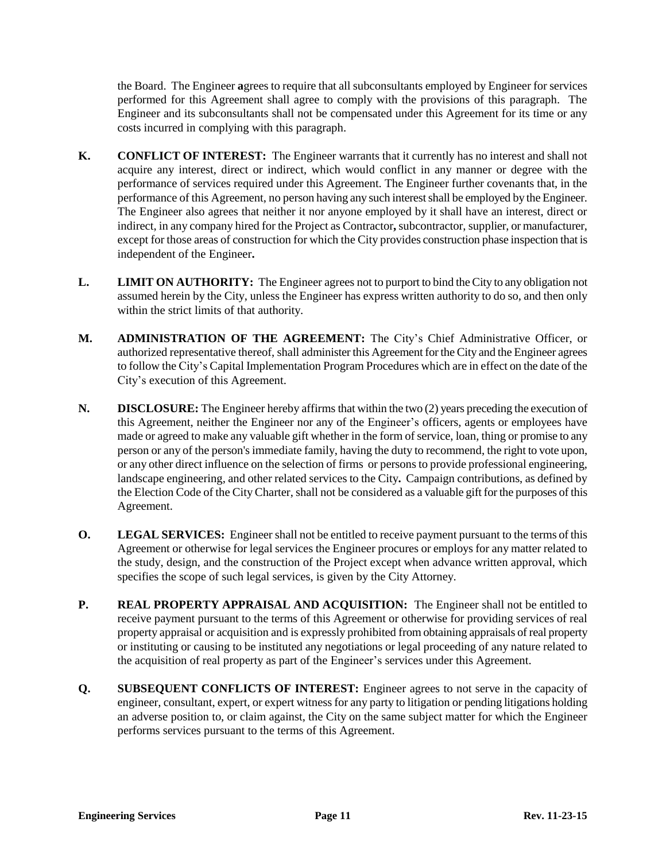the Board. The Engineer **a**grees to require that all subconsultants employed by Engineer for services performed for this Agreement shall agree to comply with the provisions of this paragraph. The Engineer and its subconsultants shall not be compensated under this Agreement for its time or any costs incurred in complying with this paragraph.

- **K. CONFLICT OF INTEREST:** The Engineer warrants that it currently has no interest and shall not acquire any interest, direct or indirect, which would conflict in any manner or degree with the performance of services required under this Agreement. The Engineer further covenants that, in the performance of this Agreement, no person having any such interest shall be employed by the Engineer. The Engineer also agrees that neither it nor anyone employed by it shall have an interest, direct or indirect, in any company hired for the Project as Contractor**,** subcontractor, supplier, or manufacturer, except for those areas of construction for which the City provides construction phase inspection that is independent of the Engineer**.**
- **L. LIMIT ON AUTHORITY:** The Engineer agrees not to purport to bind the City to any obligation not assumed herein by the City, unless the Engineer has express written authority to do so, and then only within the strict limits of that authority.
- **M. ADMINISTRATION OF THE AGREEMENT:** The City's Chief Administrative Officer, or authorized representative thereof, shall administer this Agreement for the City and the Engineer agrees to follow the City's Capital Implementation Program Procedures which are in effect on the date of the City's execution of this Agreement.
- **N. DISCLOSURE:** The Engineer hereby affirms that within the two (2) years preceding the execution of this Agreement, neither the Engineer nor any of the Engineer's officers, agents or employees have made or agreed to make any valuable gift whether in the form of service, loan, thing or promise to any person or any of the person's immediate family, having the duty to recommend, the right to vote upon, or any other direct influence on the selection of firms or persons to provide professional engineering, landscape engineering, and other related services to the City**.** Campaign contributions, as defined by the Election Code of the City Charter, shall not be considered as a valuable gift for the purposes of this Agreement.
- **O. LEGAL SERVICES:** Engineer shall not be entitled to receive payment pursuant to the terms of this Agreement or otherwise for legal services the Engineer procures or employs for any matter related to the study, design, and the construction of the Project except when advance written approval, which specifies the scope of such legal services, is given by the City Attorney.
- **P. REAL PROPERTY APPRAISAL AND ACQUISITION:** The Engineer shall not be entitled to receive payment pursuant to the terms of this Agreement or otherwise for providing services of real property appraisal or acquisition and is expressly prohibited from obtaining appraisals of real property or instituting or causing to be instituted any negotiations or legal proceeding of any nature related to the acquisition of real property as part of the Engineer's services under this Agreement.
- **Q. SUBSEQUENT CONFLICTS OF INTEREST:** Engineer agrees to not serve in the capacity of engineer, consultant, expert, or expert witness for any party to litigation or pending litigations holding an adverse position to, or claim against, the City on the same subject matter for which the Engineer performs services pursuant to the terms of this Agreement.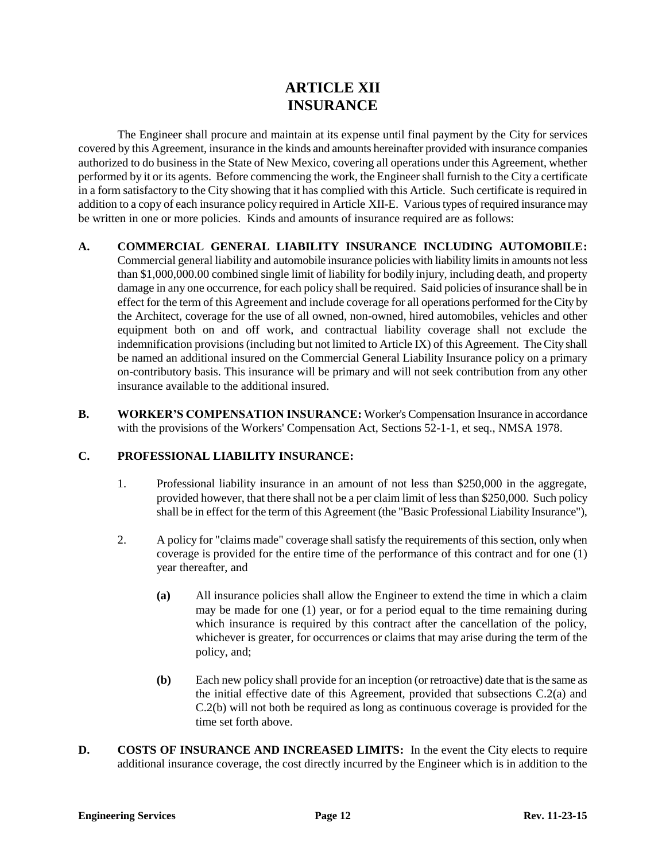### **ARTICLE XII INSURANCE**

The Engineer shall procure and maintain at its expense until final payment by the City for services covered by this Agreement, insurance in the kinds and amounts hereinafter provided with insurance companies authorized to do business in the State of New Mexico, covering all operations under this Agreement, whether performed by it or its agents. Before commencing the work, the Engineer shall furnish to the City a certificate in a form satisfactory to the City showing that it has complied with this Article. Such certificate is required in addition to a copy of each insurance policy required in Article XII-E. Various types of required insurance may be written in one or more policies. Kinds and amounts of insurance required are as follows:

- **A. COMMERCIAL GENERAL LIABILITY INSURANCE INCLUDING AUTOMOBILE:**  Commercial general liability and automobile insurance policies with liability limits in amounts not less than \$1,000,000.00 combined single limit of liability for bodily injury, including death, and property damage in any one occurrence, for each policy shall be required. Said policies of insurance shall be in effect for the term of this Agreement and include coverage for all operations performed for the City by the Architect, coverage for the use of all owned, non-owned, hired automobiles, vehicles and other equipment both on and off work, and contractual liability coverage shall not exclude the indemnification provisions (including but not limited to Article IX) of this Agreement. The City shall be named an additional insured on the Commercial General Liability Insurance policy on a primary on-contributory basis. This insurance will be primary and will not seek contribution from any other insurance available to the additional insured.
- **B. WORKER'S COMPENSATION INSURANCE:** Worker's Compensation Insurance in accordance with the provisions of the Workers' Compensation Act, Sections 52-1-1, et seq., NMSA 1978.

### **C. PROFESSIONAL LIABILITY INSURANCE:**

- 1. Professional liability insurance in an amount of not less than \$250,000 in the aggregate, provided however, that there shall not be a per claim limit of less than \$250,000. Such policy shall be in effect for the term of this Agreement (the "Basic Professional Liability Insurance"),
- 2. A policy for "claims made" coverage shall satisfy the requirements of this section, only when coverage is provided for the entire time of the performance of this contract and for one (1) year thereafter, and
	- **(a)** All insurance policies shall allow the Engineer to extend the time in which a claim may be made for one (1) year, or for a period equal to the time remaining during which insurance is required by this contract after the cancellation of the policy, whichever is greater, for occurrences or claims that may arise during the term of the policy, and;
	- **(b)** Each new policy shall provide for an inception (or retroactive) date that is the same as the initial effective date of this Agreement, provided that subsections C.2(a) and C.2(b) will not both be required as long as continuous coverage is provided for the time set forth above.
- **D. COSTS OF INSURANCE AND INCREASED LIMITS:** In the event the City elects to require additional insurance coverage, the cost directly incurred by the Engineer which is in addition to the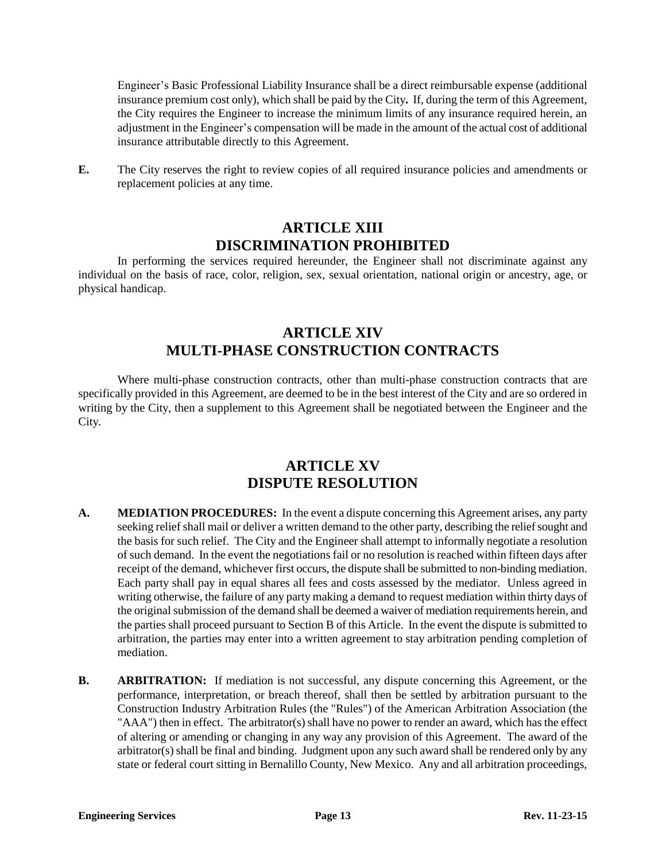Engineer's Basic Professional Liability Insurance shall be a direct reimbursable expense (additional insurance premium cost only), which shall be paid by the City**.** If, during the term of this Agreement, the City requires the Engineer to increase the minimum limits of any insurance required herein, an adjustment in the Engineer's compensation will be made in the amount of the actual cost of additional insurance attributable directly to this Agreement.

**E.** The City reserves the right to review copies of all required insurance policies and amendments or replacement policies at any time.

### **ARTICLE XIII DISCRIMINATION PROHIBITED**

In performing the services required hereunder, the Engineer shall not discriminate against any individual on the basis of race, color, religion, sex, sexual orientation, national origin or ancestry, age, or physical handicap.

# **ARTICLE XIV MULTI-PHASE CONSTRUCTION CONTRACTS**

Where multi-phase construction contracts, other than multi-phase construction contracts that are specifically provided in this Agreement, are deemed to be in the best interest of the City and are so ordered in writing by the City, then a supplement to this Agreement shall be negotiated between the Engineer and the City.

### **ARTICLE XV DISPUTE RESOLUTION**

- **A. MEDIATION PROCEDURES:** In the event a dispute concerning this Agreement arises, any party seeking relief shall mail or deliver a written demand to the other party, describing the relief sought and the basis for such relief. The City and the Engineer shall attempt to informally negotiate a resolution of such demand. In the event the negotiations fail or no resolution is reached within fifteen days after receipt of the demand, whichever first occurs, the dispute shall be submitted to non-binding mediation. Each party shall pay in equal shares all fees and costs assessed by the mediator. Unless agreed in writing otherwise, the failure of any party making a demand to request mediation within thirty days of the original submission of the demand shall be deemed a waiver of mediation requirements herein, and the parties shall proceed pursuant to Section B of this Article. In the event the dispute is submitted to arbitration, the parties may enter into a written agreement to stay arbitration pending completion of mediation.
- **B. ARBITRATION:** If mediation is not successful, any dispute concerning this Agreement, or the performance, interpretation, or breach thereof, shall then be settled by arbitration pursuant to the Construction Industry Arbitration Rules (the "Rules") of the American Arbitration Association (the "AAA") then in effect. The arbitrator(s) shall have no power to render an award, which has the effect of altering or amending or changing in any way any provision of this Agreement. The award of the arbitrator(s) shall be final and binding. Judgment upon any such award shall be rendered only by any state or federal court sitting in Bernalillo County, New Mexico. Any and all arbitration proceedings,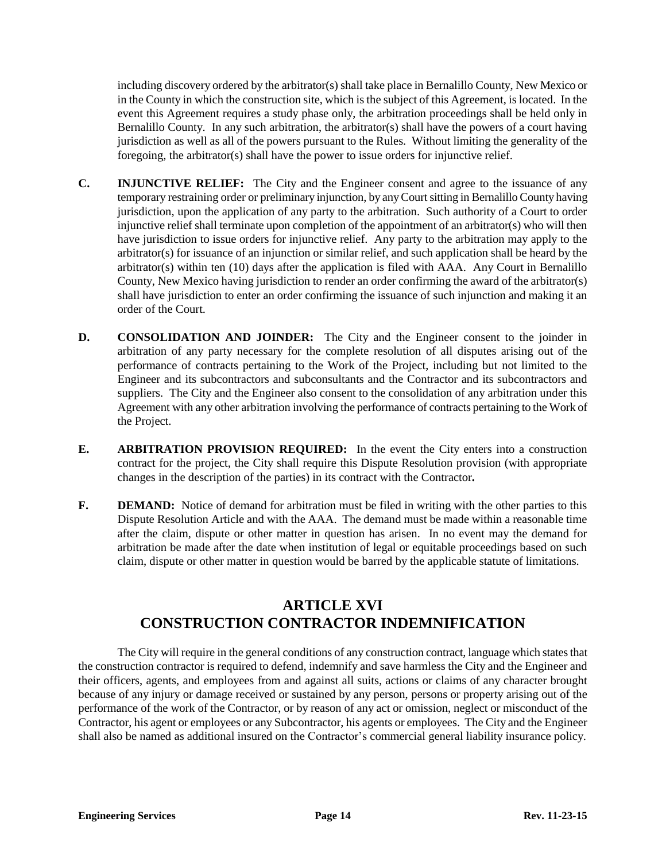including discovery ordered by the arbitrator(s) shall take place in Bernalillo County, New Mexico or in the County in which the construction site, which is the subject of this Agreement, is located. In the event this Agreement requires a study phase only, the arbitration proceedings shall be held only in Bernalillo County. In any such arbitration, the arbitrator(s) shall have the powers of a court having jurisdiction as well as all of the powers pursuant to the Rules. Without limiting the generality of the foregoing, the arbitrator(s) shall have the power to issue orders for injunctive relief.

- **C. INJUNCTIVE RELIEF:** The City and the Engineer consent and agree to the issuance of any temporary restraining order or preliminary injunction, by any Court sitting in Bernalillo County having jurisdiction, upon the application of any party to the arbitration. Such authority of a Court to order injunctive relief shall terminate upon completion of the appointment of an arbitrator(s) who will then have jurisdiction to issue orders for injunctive relief. Any party to the arbitration may apply to the arbitrator(s) for issuance of an injunction or similar relief, and such application shall be heard by the arbitrator(s) within ten (10) days after the application is filed with AAA. Any Court in Bernalillo County, New Mexico having jurisdiction to render an order confirming the award of the arbitrator(s) shall have jurisdiction to enter an order confirming the issuance of such injunction and making it an order of the Court.
- **D. CONSOLIDATION AND JOINDER:** The City and the Engineer consent to the joinder in arbitration of any party necessary for the complete resolution of all disputes arising out of the performance of contracts pertaining to the Work of the Project, including but not limited to the Engineer and its subcontractors and subconsultants and the Contractor and its subcontractors and suppliers. The City and the Engineer also consent to the consolidation of any arbitration under this Agreement with any other arbitration involving the performance of contracts pertaining to the Work of the Project.
- **E. ARBITRATION PROVISION REQUIRED:** In the event the City enters into a construction contract for the project, the City shall require this Dispute Resolution provision (with appropriate changes in the description of the parties) in its contract with the Contractor**.**
- **F. DEMAND:** Notice of demand for arbitration must be filed in writing with the other parties to this Dispute Resolution Article and with the AAA. The demand must be made within a reasonable time after the claim, dispute or other matter in question has arisen. In no event may the demand for arbitration be made after the date when institution of legal or equitable proceedings based on such claim, dispute or other matter in question would be barred by the applicable statute of limitations.

# **ARTICLE XVI CONSTRUCTION CONTRACTOR INDEMNIFICATION**

The City will require in the general conditions of any construction contract, language which states that the construction contractor is required to defend, indemnify and save harmless the City and the Engineer and their officers, agents, and employees from and against all suits, actions or claims of any character brought because of any injury or damage received or sustained by any person, persons or property arising out of the performance of the work of the Contractor, or by reason of any act or omission, neglect or misconduct of the Contractor, his agent or employees or any Subcontractor, his agents or employees. The City and the Engineer shall also be named as additional insured on the Contractor's commercial general liability insurance policy.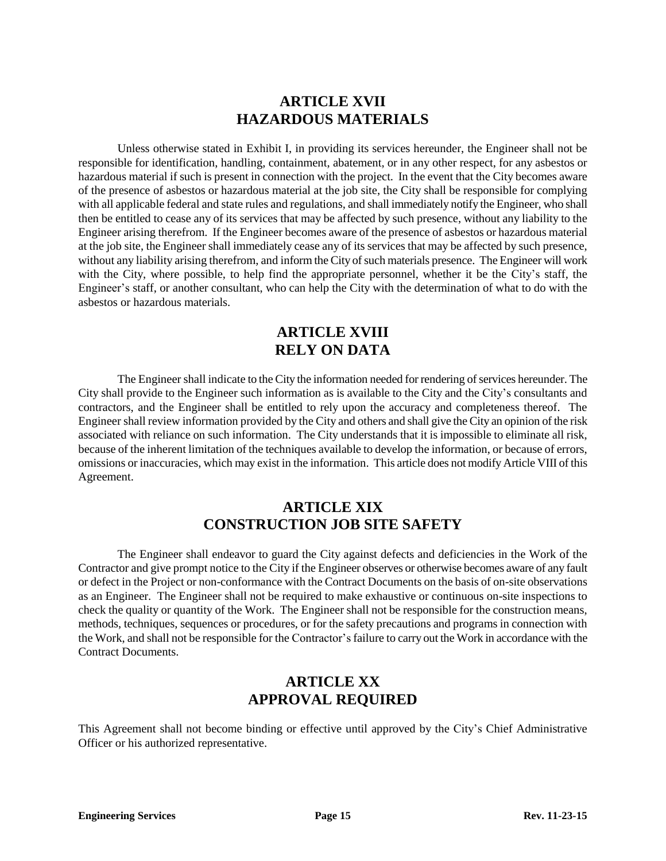### **ARTICLE XVII HAZARDOUS MATERIALS**

Unless otherwise stated in Exhibit I, in providing its services hereunder, the Engineer shall not be responsible for identification, handling, containment, abatement, or in any other respect, for any asbestos or hazardous material if such is present in connection with the project. In the event that the City becomes aware of the presence of asbestos or hazardous material at the job site, the City shall be responsible for complying with all applicable federal and state rules and regulations, and shall immediately notify the Engineer, who shall then be entitled to cease any of its services that may be affected by such presence, without any liability to the Engineer arising therefrom. If the Engineer becomes aware of the presence of asbestos or hazardous material at the job site, the Engineer shall immediately cease any of its services that may be affected by such presence, without any liability arising therefrom, and inform the City of such materials presence. The Engineer will work with the City, where possible, to help find the appropriate personnel, whether it be the City's staff, the Engineer's staff, or another consultant, who can help the City with the determination of what to do with the asbestos or hazardous materials.

### **ARTICLE XVIII RELY ON DATA**

The Engineer shall indicate to the City the information needed for rendering of services hereunder. The City shall provide to the Engineer such information as is available to the City and the City's consultants and contractors, and the Engineer shall be entitled to rely upon the accuracy and completeness thereof. The Engineer shall review information provided by the City and others and shall give the City an opinion of the risk associated with reliance on such information. The City understands that it is impossible to eliminate all risk, because of the inherent limitation of the techniques available to develop the information, or because of errors, omissions or inaccuracies, which may exist in the information. This article does not modify Article VIII of this Agreement.

# **ARTICLE XIX CONSTRUCTION JOB SITE SAFETY**

The Engineer shall endeavor to guard the City against defects and deficiencies in the Work of the Contractor and give prompt notice to the City if the Engineer observes or otherwise becomes aware of any fault or defect in the Project or non-conformance with the Contract Documents on the basis of on-site observations as an Engineer. The Engineer shall not be required to make exhaustive or continuous on-site inspections to check the quality or quantity of the Work. The Engineer shall not be responsible for the construction means, methods, techniques, sequences or procedures, or for the safety precautions and programs in connection with the Work, and shall not be responsible for the Contractor'sfailure to carry out the Work in accordance with the Contract Documents.

### **ARTICLE XX APPROVAL REQUIRED**

This Agreement shall not become binding or effective until approved by the City's Chief Administrative Officer or his authorized representative.